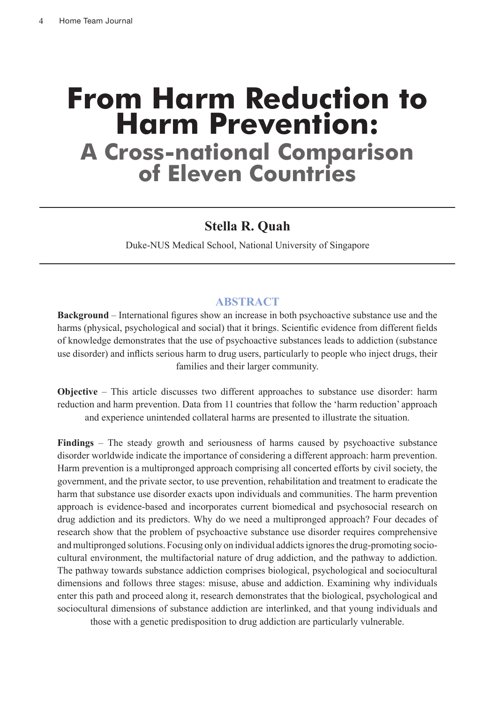# **From Harm Reduction to Harm Prevention: A Cross-national Comparison of Eleven Countries**

## **Stella R. Quah**

Duke-NUS Medical School, National University of Singapore

## **ABSTRACT**

**Background** – International figures show an increase in both psychoactive substance use and the harms (physical, psychological and social) that it brings. Scientific evidence from different fields of knowledge demonstrates that the use of psychoactive substances leads to addiction (substance use disorder) and inflicts serious harm to drug users, particularly to people who inject drugs, their families and their larger community.

**Objective** – This article discusses two different approaches to substance use disorder: harm reduction and harm prevention. Data from 11 countries that follow the 'harm reduction' approach and experience unintended collateral harms are presented to illustrate the situation.

**Findings** – The steady growth and seriousness of harms caused by psychoactive substance disorder worldwide indicate the importance of considering a different approach: harm prevention. Harm prevention is a multipronged approach comprising all concerted efforts by civil society, the government, and the private sector, to use prevention, rehabilitation and treatment to eradicate the harm that substance use disorder exacts upon individuals and communities. The harm prevention approach is evidence-based and incorporates current biomedical and psychosocial research on drug addiction and its predictors. Why do we need a multipronged approach? Four decades of research show that the problem of psychoactive substance use disorder requires comprehensive and multipronged solutions. Focusing only on individual addicts ignores the drug-promoting sociocultural environment, the multifactorial nature of drug addiction, and the pathway to addiction. The pathway towards substance addiction comprises biological, psychological and sociocultural dimensions and follows three stages: misuse, abuse and addiction. Examining why individuals enter this path and proceed along it, research demonstrates that the biological, psychological and sociocultural dimensions of substance addiction are interlinked, and that young individuals and

those with a genetic predisposition to drug addiction are particularly vulnerable.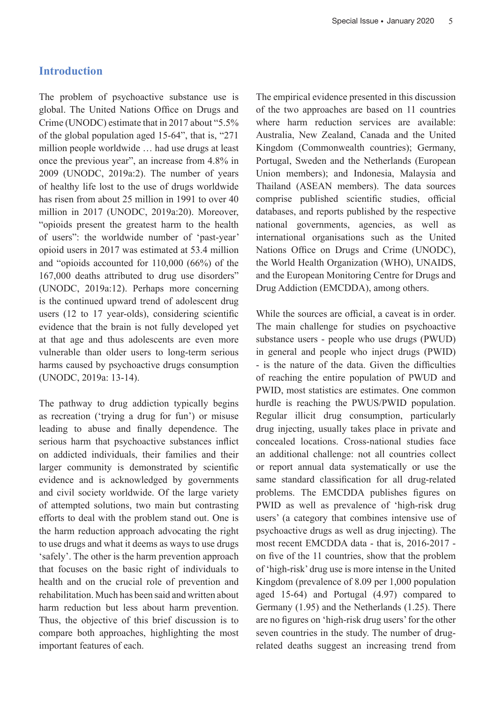## **Introduction**

The problem of psychoactive substance use is global. The United Nations Office on Drugs and Crime (UNODC) estimate that in 2017 about "5.5% of the global population aged 15-64", that is, "271 million people worldwide … had use drugs at least once the previous year", an increase from 4.8% in 2009 (UNODC, 2019a:2). The number of years of healthy life lost to the use of drugs worldwide has risen from about 25 million in 1991 to over 40 million in 2017 (UNODC, 2019a:20). Moreover, "opioids present the greatest harm to the health of users": the worldwide number of 'past-year' opioid users in 2017 was estimated at 53.4 million and "opioids accounted for 110,000 (66%) of the 167,000 deaths attributed to drug use disorders" (UNODC, 2019a:12). Perhaps more concerning is the continued upward trend of adolescent drug users (12 to 17 year-olds), considering scientific evidence that the brain is not fully developed yet at that age and thus adolescents are even more vulnerable than older users to long-term serious harms caused by psychoactive drugs consumption (UNODC, 2019a: 13-14).

The pathway to drug addiction typically begins as recreation ('trying a drug for fun') or misuse leading to abuse and finally dependence. The serious harm that psychoactive substances inflict on addicted individuals, their families and their larger community is demonstrated by scientific evidence and is acknowledged by governments and civil society worldwide. Of the large variety of attempted solutions, two main but contrasting efforts to deal with the problem stand out. One is the harm reduction approach advocating the right to use drugs and what it deems as ways to use drugs 'safely'. The other is the harm prevention approach that focuses on the basic right of individuals to health and on the crucial role of prevention and rehabilitation. Much has been said and written about harm reduction but less about harm prevention. Thus, the objective of this brief discussion is to compare both approaches, highlighting the most important features of each.

The empirical evidence presented in this discussion of the two approaches are based on 11 countries where harm reduction services are available: Australia, New Zealand, Canada and the United Kingdom (Commonwealth countries); Germany, Portugal, Sweden and the Netherlands (European Union members); and Indonesia, Malaysia and Thailand (ASEAN members). The data sources comprise published scientific studies, official databases, and reports published by the respective national governments, agencies, as well as international organisations such as the United Nations Office on Drugs and Crime (UNODC), the World Health Organization (WHO), UNAIDS, and the European Monitoring Centre for Drugs and Drug Addiction (EMCDDA), among others.

While the sources are official, a caveat is in order. The main challenge for studies on psychoactive substance users - people who use drugs (PWUD) in general and people who inject drugs (PWID) - is the nature of the data. Given the difficulties of reaching the entire population of PWUD and PWID, most statistics are estimates. One common hurdle is reaching the PWUS/PWID population. Regular illicit drug consumption, particularly drug injecting, usually takes place in private and concealed locations. Cross-national studies face an additional challenge: not all countries collect or report annual data systematically or use the same standard classification for all drug-related problems. The EMCDDA publishes figures on PWID as well as prevalence of 'high-risk drug users' (a category that combines intensive use of psychoactive drugs as well as drug injecting). The most recent EMCDDA data - that is, 2016-2017 on five of the 11 countries, show that the problem of 'high-risk' drug use is more intense in the United Kingdom (prevalence of 8.09 per 1,000 population aged 15-64) and Portugal (4.97) compared to Germany (1.95) and the Netherlands (1.25). There are no figures on 'high-risk drug users' for the other seven countries in the study. The number of drugrelated deaths suggest an increasing trend from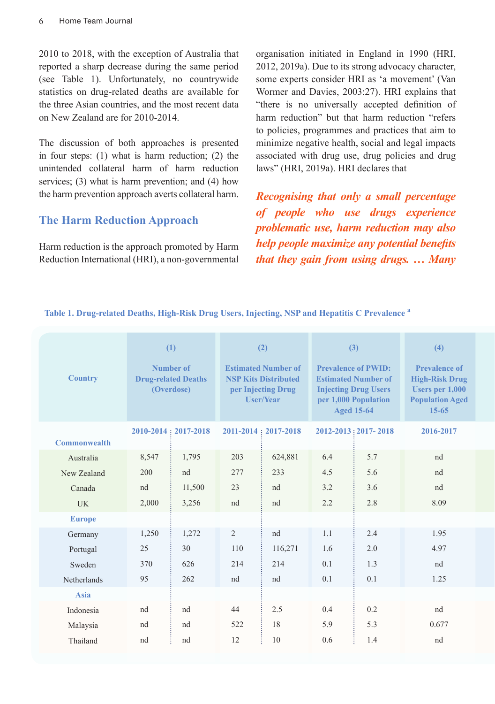2010 to 2018, with the exception of Australia that reported a sharp decrease during the same period (see Table 1). Unfortunately, no countrywide statistics on drug-related deaths are available for the three Asian countries, and the most recent data on New Zealand are for 2010-2014.

The discussion of both approaches is presented in four steps: (1) what is harm reduction; (2) the unintended collateral harm of harm reduction services; (3) what is harm prevention; and (4) how the harm prevention approach averts collateral harm.

## **The Harm Reduction Approach**

Harm reduction is the approach promoted by Harm Reduction International (HRI), a non-governmental organisation initiated in England in 1990 (HRI, 2012, 2019a). Due to its strong advocacy character, some experts consider HRI as 'a movement' (Van Wormer and Davies, 2003:27). HRI explains that "there is no universally accepted definition of harm reduction" but that harm reduction "refers to policies, programmes and practices that aim to minimize negative health, social and legal impacts associated with drug use, drug policies and drug laws" (HRI, 2019a). HRI declares that

*Recognising that only a small percentage of people who use drugs experience problematic use, harm reduction may also help people maximize any potential benefits that they gain from using drugs. … Many* 

**Table 1. Drug-related Deaths, High-Risk Drug Users, Injecting, NSP and Hepatitis C Prevalence a**

| <b>Country</b>      | (1)<br>Number of<br><b>Drug-related Deaths</b><br>(Overdose) |                             | (2)<br><b>Estimated Number of</b><br><b>NSP Kits Distributed</b><br>per Injecting Drug<br><b>User/Year</b> |                             | (3)<br><b>Prevalence of PWID:</b><br><b>Estimated Number of</b><br><b>Injecting Drug Users</b><br>per 1,000 Population<br><b>Aged 15-64</b> |                       | (4)<br><b>Prevalence of</b><br><b>High-Risk Drug</b><br><b>Users per 1,000</b><br><b>Population Aged</b><br>$15 - 65$ |
|---------------------|--------------------------------------------------------------|-----------------------------|------------------------------------------------------------------------------------------------------------|-----------------------------|---------------------------------------------------------------------------------------------------------------------------------------------|-----------------------|-----------------------------------------------------------------------------------------------------------------------|
| <b>Commonwealth</b> |                                                              | $2010 - 2014 : 2017 - 2018$ |                                                                                                            | $2011 - 2014 : 2017 - 2018$ |                                                                                                                                             | 2012-2013 : 2017-2018 | 2016-2017                                                                                                             |
| Australia           | 8,547                                                        | 1,795                       | 203                                                                                                        | 624,881                     | 6.4                                                                                                                                         | 5.7                   | nd                                                                                                                    |
| New Zealand         | 200                                                          | nd                          | 277                                                                                                        | 233                         | 4.5                                                                                                                                         | 5.6                   | nd                                                                                                                    |
| Canada              | nd                                                           | 11,500                      | 23                                                                                                         | nd                          | 3.2                                                                                                                                         | 3.6                   | nd                                                                                                                    |
| <b>UK</b>           | 2,000                                                        | 3,256                       | nd                                                                                                         | nd                          | 2.2                                                                                                                                         | 2.8                   | 8.09                                                                                                                  |
| <b>Europe</b>       |                                                              |                             |                                                                                                            |                             |                                                                                                                                             |                       |                                                                                                                       |
| Germany             | 1,250                                                        | 1,272                       | $\overline{2}$                                                                                             | nd                          | 1.1                                                                                                                                         | 2.4                   | 1.95                                                                                                                  |
| Portugal            | 25                                                           | 30                          | 110                                                                                                        | 116,271                     | 1.6                                                                                                                                         | 2.0                   | 4.97                                                                                                                  |
| Sweden              | 370                                                          | 626                         | 214                                                                                                        | 214                         | 0.1                                                                                                                                         | 1.3                   | nd                                                                                                                    |
| Netherlands         | 95                                                           | 262                         | nd                                                                                                         | nd                          | 0.1                                                                                                                                         | 0.1                   | 1.25                                                                                                                  |
| <b>Asia</b>         |                                                              |                             |                                                                                                            |                             |                                                                                                                                             |                       |                                                                                                                       |
| Indonesia           | nd                                                           | nd                          | 44                                                                                                         | 2.5                         | 0.4                                                                                                                                         | 0.2                   | nd                                                                                                                    |
| Malaysia            | nd                                                           | nd                          | 522                                                                                                        | 18                          | 5.9                                                                                                                                         | 5.3                   | 0.677                                                                                                                 |
| Thailand            | nd                                                           | nd                          | 12                                                                                                         | 10                          | 0.6                                                                                                                                         | 1.4                   | nd                                                                                                                    |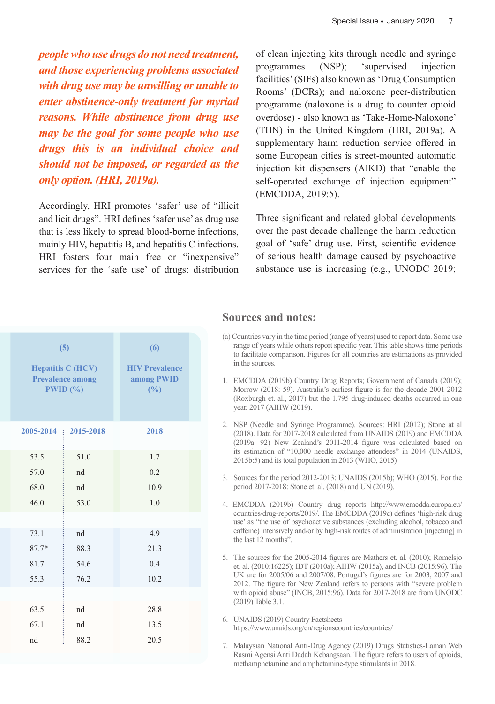*people who use drugs do not need treatment, and those experiencing problems associated with drug use may be unwilling or unable to enter abstinence-only treatment for myriad reasons. While abstinence from drug use may be the goal for some people who use drugs this is an individual choice and should not be imposed, or regarded as the only option. (HRI, 2019a).*

Accordingly, HRI promotes 'safer' use of "illicit and licit drugs". HRI defines 'safer use' as drug use that is less likely to spread blood-borne infections, mainly HIV, hepatitis B, and hepatitis C infections. HRI fosters four main free or "inexpensive" services for the 'safe use' of drugs: distribution

of clean injecting kits through needle and syringe programmes (NSP); 'supervised injection facilities' (SIFs) also known as 'Drug Consumption Rooms' (DCRs); and naloxone peer-distribution programme (naloxone is a drug to counter opioid overdose) - also known as 'Take-Home-Naloxone' (THN) in the United Kingdom (HRI, 2019a). A supplementary harm reduction service offered in some European cities is street-mounted automatic injection kit dispensers (AIKD) that "enable the self-operated exchange of injection equipment" (EMCDDA, 2019:5).

Three significant and related global developments over the past decade challenge the harm reduction goal of 'safe' drug use. First, scientific evidence of serious health damage caused by psychoactive substance use is increasing (e.g., UNODC 2019;

|                 | (5)<br><b>Hepatitis C (HCV)</b><br><b>Prevalence among</b><br>PWID(%) | $\overline{\mathbf{6}}$<br><b>HIV Prevalence</b><br>among PWID<br>(9/0) |
|-----------------|-----------------------------------------------------------------------|-------------------------------------------------------------------------|
| $2005 - 2014$ : | 2015-2018                                                             | 2018                                                                    |
| 53.5            | 51.0                                                                  | 1.7                                                                     |
| 57.0            | nd                                                                    | 0.2                                                                     |
| 68.0            | nd                                                                    | 10.9                                                                    |
| 46.0            | 53.0                                                                  | 1.0                                                                     |
|                 |                                                                       |                                                                         |
| 73.1            | nd                                                                    | 4.9                                                                     |
| $87.7*$         | 88.3                                                                  | 21.3                                                                    |
| 81.7            | 54.6                                                                  | 0.4                                                                     |
| 55.3            | 76.2                                                                  | 10.2                                                                    |
|                 |                                                                       |                                                                         |
| 63.5            | nd                                                                    | 28.8                                                                    |
| 67.1            | nd                                                                    | 13.5                                                                    |
| nd              | 88.2                                                                  | 20.5                                                                    |

#### **Sources and notes:**

- (a) Countries vary in the time period (range of years) used to report data. Some use range of years while others report specific year. This table shows time periods to facilitate comparison. Figures for all countries are estimations as provided in the sources.
- 1. EMCDDA (2019b) Country Drug Reports; Government of Canada (2019); Morrow (2018: 59). Australia's earliest figure is for the decade 2001-2012 (Roxburgh et. al., 2017) but the 1,795 drug-induced deaths occurred in one year, 2017 (AIHW (2019).
- 2. NSP (Needle and Syringe Programme). Sources: HRI (2012); Stone at al (2018). Data for 2017-2018 calculated from UNAIDS (2019) and EMCDDA (2019a: 92) New Zealand's 2011-2014 figure was calculated based on its estimation of "10,000 needle exchange attendees" in 2014 (UNAIDS, 2015b:5) and its total population in 2013 (WHO, 2015)
- 3. Sources for the period 2012-2013: UNAIDS (2015b); WHO (2015). For the period 2017-2018: Stone et. al. (2018) and UN (2019).
- 4. EMCDDA (2019b) Country drug reports http://www.emcdda.europa.eu/ countries/drug-reports/2019/. The EMCDDA (2019c) defines 'high-risk drug use' as "the use of psychoactive substances (excluding alcohol, tobacco and caffeine) intensively and/or by high-risk routes of administration [injecting] in the last 12 months".
- 5. The sources for the 2005-2014 figures are Mathers et. al. (2010); Romelsjo et. al. (2010:16225); IDT (2010a); AIHW (2015a), and INCB (2015:96). The UK are for 2005/06 and 2007/08. Portugal's figures are for 2003, 2007 and 2012. The figure for New Zealand refers to persons with "severe problem with opioid abuse" (INCB, 2015:96). Data for 2017-2018 are from UNODC (2019) Table 3.1.
- 6. UNAIDS (2019) Country Factsheets https://www.unaids.org/en/regionscountries/countries/
- 7. Malaysian National Anti-Drug Agency (2019) Drugs Statistics-Laman Web Rasmi Agensi Anti Dadah Kebangsaan. The figure refers to users of opioids, methamphetamine and amphetamine-type stimulants in 2018.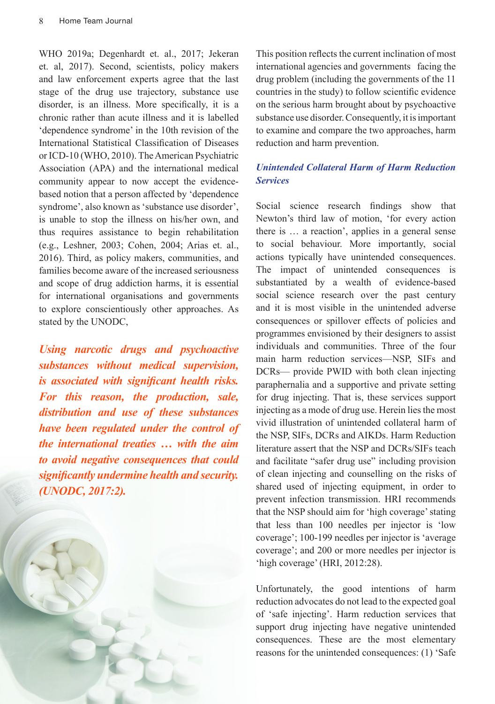WHO 2019a; Degenhardt et. al., 2017; Jekeran et. al, 2017). Second, scientists, policy makers and law enforcement experts agree that the last stage of the drug use trajectory, substance use disorder, is an illness. More specifically, it is a chronic rather than acute illness and it is labelled 'dependence syndrome' in the 10th revision of the International Statistical Classification of Diseases or ICD-10 (WHO, 2010). The American Psychiatric Association (APA) and the international medical community appear to now accept the evidencebased notion that a person affected by 'dependence syndrome', also known as 'substance use disorder', is unable to stop the illness on his/her own, and thus requires assistance to begin rehabilitation (e.g., Leshner, 2003; Cohen, 2004; Arias et. al., 2016). Third, as policy makers, communities, and families become aware of the increased seriousness and scope of drug addiction harms, it is essential for international organisations and governments to explore conscientiously other approaches. As stated by the UNODC,

*Using narcotic drugs and psychoactive substances without medical supervision, is associated with significant health risks. For this reason, the production, sale, distribution and use of these substances have been regulated under the control of the international treaties … with the aim to avoid negative consequences that could significantly undermine health and security. (UNODC, 2017:2).*



This position reflects the current inclination of most international agencies and governments facing the drug problem (including the governments of the 11 countries in the study) to follow scientific evidence on the serious harm brought about by psychoactive substance use disorder. Consequently, it is important to examine and compare the two approaches, harm reduction and harm prevention.

#### *Unintended Collateral Harm of Harm Reduction Services*

Social science research findings show that Newton's third law of motion, 'for every action there is … a reaction', applies in a general sense to social behaviour. More importantly, social actions typically have unintended consequences. The impact of unintended consequences is substantiated by a wealth of evidence-based social science research over the past century and it is most visible in the unintended adverse consequences or spillover effects of policies and programmes envisioned by their designers to assist individuals and communities. Three of the four main harm reduction services—NSP, SIFs and DCRs— provide PWID with both clean injecting paraphernalia and a supportive and private setting for drug injecting. That is, these services support injecting as a mode of drug use. Herein lies the most vivid illustration of unintended collateral harm of the NSP, SIFs, DCRs and AIKDs. Harm Reduction literature assert that the NSP and DCRs/SIFs teach and facilitate "safer drug use" including provision of clean injecting and counselling on the risks of shared used of injecting equipment, in order to prevent infection transmission. HRI recommends that the NSP should aim for 'high coverage' stating that less than 100 needles per injector is 'low coverage'; 100-199 needles per injector is 'average coverage'; and 200 or more needles per injector is 'high coverage' (HRI, 2012:28).

Unfortunately, the good intentions of harm reduction advocates do not lead to the expected goal of 'safe injecting'. Harm reduction services that support drug injecting have negative unintended consequences. These are the most elementary reasons for the unintended consequences: (1) 'Safe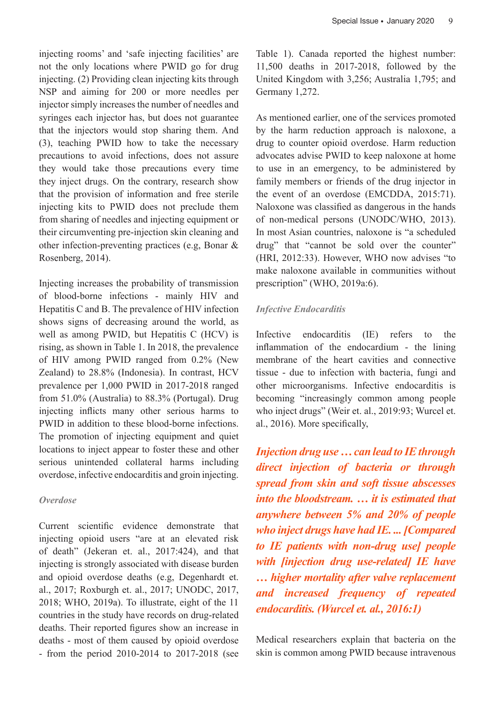injecting rooms' and 'safe injecting facilities' are not the only locations where PWID go for drug injecting. (2) Providing clean injecting kits through NSP and aiming for 200 or more needles per injector simply increases the number of needles and syringes each injector has, but does not guarantee that the injectors would stop sharing them. And (3), teaching PWID how to take the necessary precautions to avoid infections, does not assure they would take those precautions every time they inject drugs. On the contrary, research show that the provision of information and free sterile injecting kits to PWID does not preclude them from sharing of needles and injecting equipment or their circumventing pre-injection skin cleaning and other infection-preventing practices (e.g, Bonar & Rosenberg, 2014).

Injecting increases the probability of transmission of blood-borne infections - mainly HIV and Hepatitis C and B. The prevalence of HIV infection shows signs of decreasing around the world, as well as among PWID, but Hepatitis C (HCV) is rising, as shown in Table 1. In 2018, the prevalence of HIV among PWID ranged from 0.2% (New Zealand) to 28.8% (Indonesia). In contrast, HCV prevalence per 1,000 PWID in 2017-2018 ranged from 51.0% (Australia) to 88.3% (Portugal). Drug injecting inflicts many other serious harms to PWID in addition to these blood-borne infections. The promotion of injecting equipment and quiet locations to inject appear to foster these and other serious unintended collateral harms including overdose, infective endocarditis and groin injecting.

#### *Overdose*

Current scientific evidence demonstrate that injecting opioid users "are at an elevated risk of death" (Jekeran et. al., 2017:424), and that injecting is strongly associated with disease burden and opioid overdose deaths (e.g, Degenhardt et. al., 2017; Roxburgh et. al., 2017; UNODC, 2017, 2018; WHO, 2019a). To illustrate, eight of the 11 countries in the study have records on drug-related deaths. Their reported figures show an increase in deaths - most of them caused by opioid overdose - from the period 2010-2014 to 2017-2018 (see

Table 1). Canada reported the highest number: 11,500 deaths in 2017-2018, followed by the United Kingdom with 3,256; Australia 1,795; and Germany 1,272.

As mentioned earlier, one of the services promoted by the harm reduction approach is naloxone, a drug to counter opioid overdose. Harm reduction advocates advise PWID to keep naloxone at home to use in an emergency, to be administered by family members or friends of the drug injector in the event of an overdose (EMCDDA, 2015:71). Naloxone was classified as dangerous in the hands of non-medical persons (UNODC/WHO, 2013). In most Asian countries, naloxone is "a scheduled drug" that "cannot be sold over the counter" (HRI, 2012:33). However, WHO now advises "to make naloxone available in communities without prescription" (WHO, 2019a:6).

#### *Infective Endocarditis*

Infective endocarditis (IE) refers to the inflammation of the endocardium - the lining membrane of the heart cavities and connective tissue - due to infection with bacteria, fungi and other microorganisms. Infective endocarditis is becoming "increasingly common among people who inject drugs" (Weir et. al., 2019:93; Wurcel et. al., 2016). More specifically,

*Injection drug use … can lead to IE through direct injection of bacteria or through spread from skin and soft tissue abscesses into the bloodstream. … it is estimated that anywhere between 5% and 20% of people who inject drugs have had IE. ... [Compared to IE patients with non-drug use] people with [injection drug use-related] IE have … higher mortality after valve replacement and increased frequency of repeated endocarditis. (Wurcel et. al., 2016:1)*

Medical researchers explain that bacteria on the skin is common among PWID because intravenous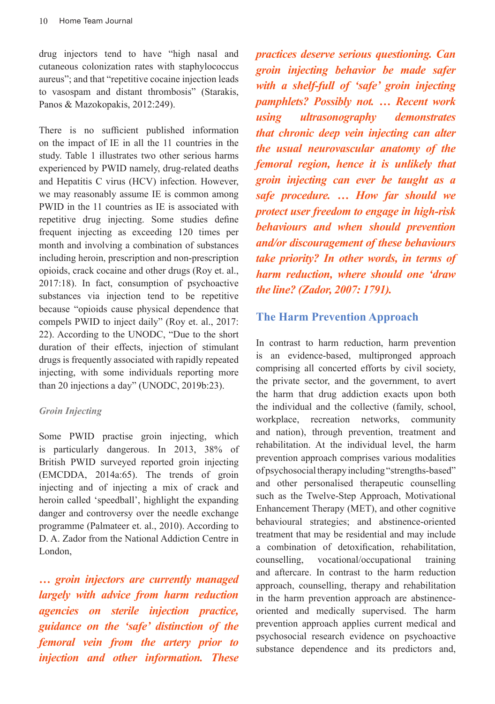drug injectors tend to have "high nasal and cutaneous colonization rates with staphylococcus aureus"; and that "repetitive cocaine injection leads to vasospam and distant thrombosis" (Starakis, Panos & Mazokopakis, 2012:249).

There is no sufficient published information on the impact of IE in all the 11 countries in the study. Table 1 illustrates two other serious harms experienced by PWID namely, drug-related deaths and Hepatitis C virus (HCV) infection. However, we may reasonably assume IE is common among PWID in the 11 countries as IE is associated with repetitive drug injecting. Some studies define frequent injecting as exceeding 120 times per month and involving a combination of substances including heroin, prescription and non-prescription opioids, crack cocaine and other drugs (Roy et. al., 2017:18). In fact, consumption of psychoactive substances via injection tend to be repetitive because "opioids cause physical dependence that compels PWID to inject daily" (Roy et. al., 2017: 22). According to the UNODC, "Due to the short duration of their effects, injection of stimulant drugs is frequently associated with rapidly repeated injecting, with some individuals reporting more than 20 injections a day" (UNODC, 2019b:23).

#### *Groin Injecting*

Some PWID practise groin injecting, which is particularly dangerous. In 2013, 38% of British PWID surveyed reported groin injecting (EMCDDA, 2014a:65). The trends of groin injecting and of injecting a mix of crack and heroin called 'speedball', highlight the expanding danger and controversy over the needle exchange programme (Palmateer et. al., 2010). According to D. A. Zador from the National Addiction Centre in London,

*… groin injectors are currently managed largely with advice from harm reduction agencies on sterile injection practice, guidance on the 'safe' distinction of the femoral vein from the artery prior to injection and other information. These*  *practices deserve serious questioning. Can groin injecting behavior be made safer with a shelf-full of 'safe' groin injecting pamphlets? Possibly not. … Recent work using ultrasonography demonstrates that chronic deep vein injecting can alter the usual neurovascular anatomy of the femoral region, hence it is unlikely that groin injecting can ever be taught as a safe procedure. … How far should we protect user freedom to engage in high-risk behaviours and when should prevention and/or discouragement of these behaviours take priority? In other words, in terms of harm reduction, where should one 'draw the line? (Zador, 2007: 1791).*

## **The Harm Prevention Approach**

In contrast to harm reduction, harm prevention is an evidence-based, multipronged approach comprising all concerted efforts by civil society, the private sector, and the government, to avert the harm that drug addiction exacts upon both the individual and the collective (family, school, workplace, recreation networks, community and nation), through prevention, treatment and rehabilitation. At the individual level, the harm prevention approach comprises various modalities of psychosocial therapy including "strengths-based" and other personalised therapeutic counselling such as the Twelve-Step Approach, Motivational Enhancement Therapy (MET), and other cognitive behavioural strategies; and abstinence-oriented treatment that may be residential and may include a combination of detoxification, rehabilitation, counselling, vocational/occupational training and aftercare. In contrast to the harm reduction approach, counselling, therapy and rehabilitation in the harm prevention approach are abstinenceoriented and medically supervised. The harm prevention approach applies current medical and psychosocial research evidence on psychoactive substance dependence and its predictors and,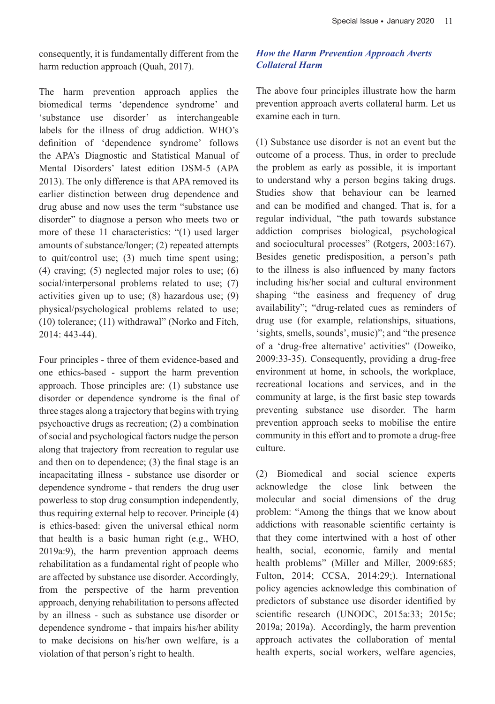consequently, it is fundamentally different from the harm reduction approach (Quah, 2017).

The harm prevention approach applies the biomedical terms 'dependence syndrome' and 'substance use disorder' as interchangeable labels for the illness of drug addiction. WHO's definition of 'dependence syndrome' follows the APA's Diagnostic and Statistical Manual of Mental Disorders' latest edition DSM-5 (APA 2013). The only difference is that APA removed its earlier distinction between drug dependence and drug abuse and now uses the term "substance use disorder" to diagnose a person who meets two or more of these 11 characteristics: "(1) used larger amounts of substance/longer; (2) repeated attempts to quit/control use; (3) much time spent using; (4) craving; (5) neglected major roles to use; (6) social/interpersonal problems related to use; (7) activities given up to use; (8) hazardous use; (9) physical/psychological problems related to use; (10) tolerance; (11) withdrawal" (Norko and Fitch, 2014: 443-44).

Four principles - three of them evidence-based and one ethics-based - support the harm prevention approach. Those principles are: (1) substance use disorder or dependence syndrome is the final of three stages along a trajectory that begins with trying psychoactive drugs as recreation; (2) a combination of social and psychological factors nudge the person along that trajectory from recreation to regular use and then on to dependence; (3) the final stage is an incapacitating illness - substance use disorder or dependence syndrome - that renders the drug user powerless to stop drug consumption independently, thus requiring external help to recover. Principle (4) is ethics-based: given the universal ethical norm that health is a basic human right (e.g., WHO, 2019a:9), the harm prevention approach deems rehabilitation as a fundamental right of people who are affected by substance use disorder. Accordingly, from the perspective of the harm prevention approach, denying rehabilitation to persons affected by an illness - such as substance use disorder or dependence syndrome - that impairs his/her ability to make decisions on his/her own welfare, is a violation of that person's right to health.

### *How the Harm Prevention Approach Averts Collateral Harm*

The above four principles illustrate how the harm prevention approach averts collateral harm. Let us examine each in turn.

(1) Substance use disorder is not an event but the outcome of a process. Thus, in order to preclude the problem as early as possible, it is important to understand why a person begins taking drugs. Studies show that behaviour can be learned and can be modified and changed. That is, for a regular individual, "the path towards substance addiction comprises biological, psychological and sociocultural processes" (Rotgers, 2003:167). Besides genetic predisposition, a person's path to the illness is also influenced by many factors including his/her social and cultural environment shaping "the easiness and frequency of drug availability"; "drug-related cues as reminders of drug use (for example, relationships, situations, 'sights, smells, sounds', music)"; and "the presence of a 'drug-free alternative' activities" (Doweiko, 2009:33-35). Consequently, providing a drug-free environment at home, in schools, the workplace, recreational locations and services, and in the community at large, is the first basic step towards preventing substance use disorder. The harm prevention approach seeks to mobilise the entire community in this effort and to promote a drug-free culture.

(2) Biomedical and social science experts acknowledge the close link between the molecular and social dimensions of the drug problem: "Among the things that we know about addictions with reasonable scientific certainty is that they come intertwined with a host of other health, social, economic, family and mental health problems" (Miller and Miller, 2009:685; Fulton, 2014; CCSA, 2014:29;). International policy agencies acknowledge this combination of predictors of substance use disorder identified by scientific research (UNODC, 2015a:33; 2015c; 2019a; 2019a). Accordingly, the harm prevention approach activates the collaboration of mental health experts, social workers, welfare agencies,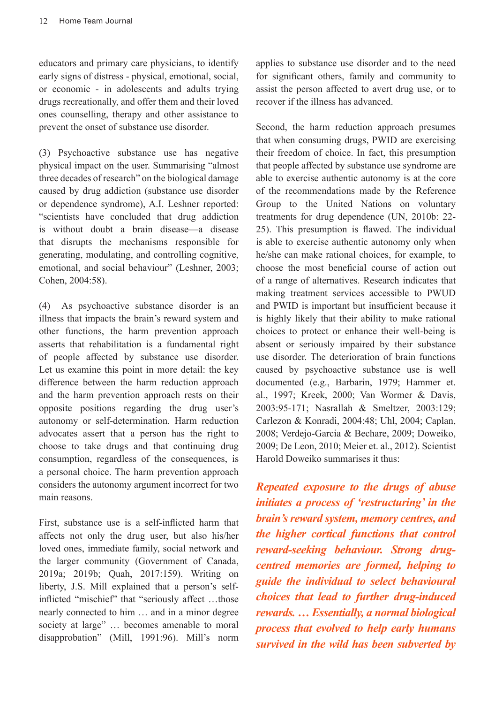educators and primary care physicians, to identify early signs of distress - physical, emotional, social, or economic - in adolescents and adults trying drugs recreationally, and offer them and their loved ones counselling, therapy and other assistance to prevent the onset of substance use disorder.

(3) Psychoactive substance use has negative physical impact on the user. Summarising "almost three decades of research" on the biological damage caused by drug addiction (substance use disorder or dependence syndrome), A.I. Leshner reported: "scientists have concluded that drug addiction is without doubt a brain disease—a disease that disrupts the mechanisms responsible for generating, modulating, and controlling cognitive, emotional, and social behaviour" (Leshner, 2003; Cohen, 2004:58).

(4) As psychoactive substance disorder is an illness that impacts the brain's reward system and other functions, the harm prevention approach asserts that rehabilitation is a fundamental right of people affected by substance use disorder. Let us examine this point in more detail: the key difference between the harm reduction approach and the harm prevention approach rests on their opposite positions regarding the drug user's autonomy or self-determination. Harm reduction advocates assert that a person has the right to choose to take drugs and that continuing drug consumption, regardless of the consequences, is a personal choice. The harm prevention approach considers the autonomy argument incorrect for two main reasons.

First, substance use is a self-inflicted harm that affects not only the drug user, but also his/her loved ones, immediate family, social network and the larger community (Government of Canada, 2019a; 2019b; Quah, 2017:159). Writing on liberty, J.S. Mill explained that a person's selfinflicted "mischief" that "seriously affect …those nearly connected to him … and in a minor degree society at large" … becomes amenable to moral disapprobation" (Mill, 1991:96). Mill's norm applies to substance use disorder and to the need for significant others, family and community to assist the person affected to avert drug use, or to recover if the illness has advanced.

Second, the harm reduction approach presumes that when consuming drugs, PWID are exercising their freedom of choice. In fact, this presumption that people affected by substance use syndrome are able to exercise authentic autonomy is at the core of the recommendations made by the Reference Group to the United Nations on voluntary treatments for drug dependence (UN, 2010b: 22- 25). This presumption is flawed. The individual is able to exercise authentic autonomy only when he/she can make rational choices, for example, to choose the most beneficial course of action out of a range of alternatives. Research indicates that making treatment services accessible to PWUD and PWID is important but insufficient because it is highly likely that their ability to make rational choices to protect or enhance their well-being is absent or seriously impaired by their substance use disorder. The deterioration of brain functions caused by psychoactive substance use is well documented (e.g., Barbarin, 1979; Hammer et. al., 1997; Kreek, 2000; Van Wormer & Davis, 2003:95-171; Nasrallah & Smeltzer, 2003:129; Carlezon & Konradi, 2004:48; Uhl, 2004; Caplan, 2008; Verdejo-Garcia & Bechare, 2009; Doweiko, 2009; De Leon, 2010; Meier et. al., 2012). Scientist Harold Doweiko summarises it thus:

*Repeated exposure to the drugs of abuse initiates a process of 'restructuring' in the brain's reward system, memory centres, and the higher cortical functions that control reward-seeking behaviour. Strong drugcentred memories are formed, helping to guide the individual to select behavioural choices that lead to further drug-induced rewards. … Essentially, a normal biological process that evolved to help early humans survived in the wild has been subverted by*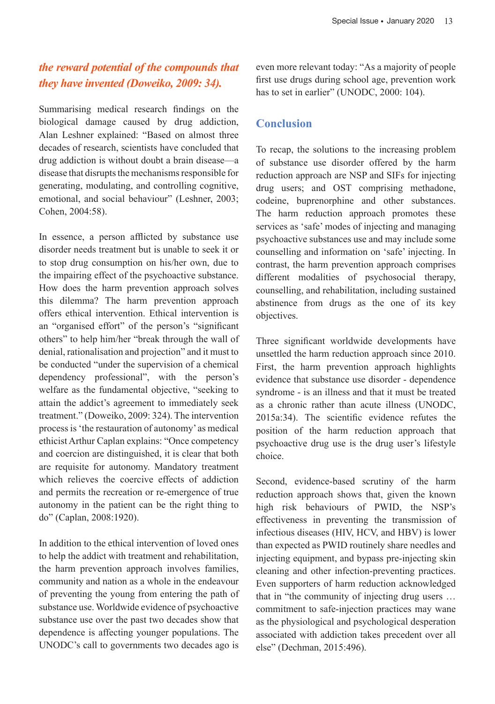## *the reward potential of the compounds that they have invented (Doweiko, 2009: 34).*

Summarising medical research findings on the biological damage caused by drug addiction, Alan Leshner explained: "Based on almost three decades of research, scientists have concluded that drug addiction is without doubt a brain disease—a disease that disrupts the mechanisms responsible for generating, modulating, and controlling cognitive, emotional, and social behaviour" (Leshner, 2003; Cohen, 2004:58).

In essence, a person afflicted by substance use disorder needs treatment but is unable to seek it or to stop drug consumption on his/her own, due to the impairing effect of the psychoactive substance. How does the harm prevention approach solves this dilemma? The harm prevention approach offers ethical intervention. Ethical intervention is an "organised effort" of the person's "significant others" to help him/her "break through the wall of denial, rationalisation and projection" and it must to be conducted "under the supervision of a chemical dependency professional", with the person's welfare as the fundamental objective, "seeking to attain the addict's agreement to immediately seek treatment." (Doweiko, 2009: 324). The intervention process is 'the restauration of autonomy' as medical ethicist Arthur Caplan explains: "Once competency and coercion are distinguished, it is clear that both are requisite for autonomy. Mandatory treatment which relieves the coercive effects of addiction and permits the recreation or re-emergence of true autonomy in the patient can be the right thing to do" (Caplan, 2008:1920).

In addition to the ethical intervention of loved ones to help the addict with treatment and rehabilitation, the harm prevention approach involves families, community and nation as a whole in the endeavour of preventing the young from entering the path of substance use. Worldwide evidence of psychoactive substance use over the past two decades show that dependence is affecting younger populations. The UNODC's call to governments two decades ago is

even more relevant today: "As a majority of people first use drugs during school age, prevention work has to set in earlier" (UNODC, 2000: 104).

## **Conclusion**

To recap, the solutions to the increasing problem of substance use disorder offered by the harm reduction approach are NSP and SIFs for injecting drug users; and OST comprising methadone, codeine, buprenorphine and other substances. The harm reduction approach promotes these services as 'safe' modes of injecting and managing psychoactive substances use and may include some counselling and information on 'safe' injecting. In contrast, the harm prevention approach comprises different modalities of psychosocial therapy, counselling, and rehabilitation, including sustained abstinence from drugs as the one of its key objectives.

Three significant worldwide developments have unsettled the harm reduction approach since 2010. First, the harm prevention approach highlights evidence that substance use disorder - dependence syndrome - is an illness and that it must be treated as a chronic rather than acute illness (UNODC, 2015a:34). The scientific evidence refutes the position of the harm reduction approach that psychoactive drug use is the drug user's lifestyle choice.

Second, evidence-based scrutiny of the harm reduction approach shows that, given the known high risk behaviours of PWID, the NSP's effectiveness in preventing the transmission of infectious diseases (HIV, HCV, and HBV) is lower than expected as PWID routinely share needles and injecting equipment, and bypass pre-injecting skin cleaning and other infection-preventing practices. Even supporters of harm reduction acknowledged that in "the community of injecting drug users … commitment to safe-injection practices may wane as the physiological and psychological desperation associated with addiction takes precedent over all else" (Dechman, 2015:496).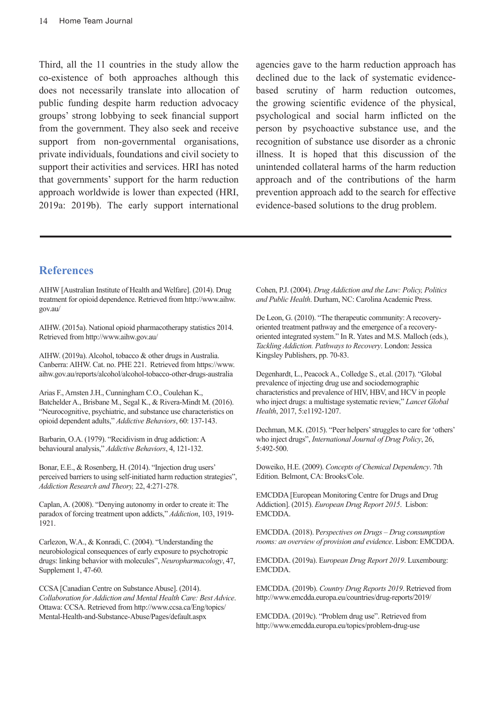Third, all the 11 countries in the study allow the co-existence of both approaches although this does not necessarily translate into allocation of public funding despite harm reduction advocacy groups' strong lobbying to seek financial support from the government. They also seek and receive support from non-governmental organisations, private individuals, foundations and civil society to support their activities and services. HRI has noted that governments' support for the harm reduction approach worldwide is lower than expected (HRI, 2019a: 2019b). The early support international

agencies gave to the harm reduction approach has declined due to the lack of systematic evidencebased scrutiny of harm reduction outcomes, the growing scientific evidence of the physical, psychological and social harm inflicted on the person by psychoactive substance use, and the recognition of substance use disorder as a chronic illness. It is hoped that this discussion of the unintended collateral harms of the harm reduction approach and of the contributions of the harm prevention approach add to the search for effective evidence-based solutions to the drug problem.

#### **References**

AIHW [Australian Institute of Health and Welfare]. (2014). Drug treatment for opioid dependence. Retrieved from http://www.aihw. gov.au/

AIHW. (2015a). National opioid pharmacotherapy statistics 2014. Retrieved from http://www.aihw.gov.au/

AIHW. (2019a). Alcohol, tobacco & other drugs in Australia. Canberra: AIHW. Cat. no. PHE 221. Retrieved from https://www. aihw.gov.au/reports/alcohol/alcohol-tobacco-other-drugs-australia

Arias F., Arnsten J.H., Cunningham C.O., Coulehan K., Batchelder A., Brisbane M., Segal K., & Rivera-Mindt M. (2016). "Neurocognitive, psychiatric, and substance use characteristics on opioid dependent adults," *Addictive Behaviors*, 60: 137-143.

Barbarin, O.A. (1979). "Recidivism in drug addiction: A behavioural analysis," *Addictive Behaviors*, 4, 121-132.

Bonar, E.E., & Rosenberg, H. (2014). "Injection drug users' perceived barriers to using self-initiated harm reduction strategies", *Addiction Research and Theory,* 22, 4:271-278.

Caplan, A. (2008). "Denying autonomy in order to create it: The paradox of forcing treatment upon addicts," *Addiction*, 103, 1919- 1921.

Carlezon, W.A., & Konradi, C. (2004). "Understanding the neurobiological consequences of early exposure to psychotropic drugs: linking behavior with molecules", *Neuropharmacology*, 47, Supplement 1, 47-60.

CCSA [Canadian Centre on Substance Abuse]. (2014). *Collaboration for Addiction and Mental Health Care: Best Advice*. Ottawa: CCSA. Retrieved from http://www.ccsa.ca/Eng/topics/ Mental-Health-and-Substance-Abuse/Pages/default.aspx

Cohen, P.J. (2004). *Drug Addiction and the Law: Policy, Politics and Public Health*. Durham, NC: Carolina Academic Press.

De Leon, G. (2010). "The therapeutic community: A recoveryoriented treatment pathway and the emergence of a recoveryoriented integrated system." In R. Yates and M.S. Malloch (eds.), *Tackling Addiction. Pathways to Recovery*. London: Jessica Kingsley Publishers, pp. 70-83.

Degenhardt, L., Peacock A., Colledge S., et.al. (2017). "Global prevalence of injecting drug use and sociodemographic characteristics and prevalence of HIV, HBV, and HCV in people who inject drugs: a multistage systematic review," *Lancet Global Health*, 2017, 5:e1192-1207.

Dechman, M.K. (2015). "Peer helpers' struggles to care for 'others' who inject drugs", *International Journal of Drug Policy*, 26, 5:492-500.

Doweiko, H.E. (2009). *Concepts of Chemical Dependency*. 7th Edition. Belmont, CA: Brooks/Cole.

EMCDDA [European Monitoring Centre for Drugs and Drug Addiction]. (2015). *European Drug Report 2015*. Lisbon: EMCDDA.

EMCDDA. (2018). P*erspectives on Drugs – Drug consumption rooms: an overview of provision and evidence*. Lisbon: EMCDDA.

EMCDDA. (2019a). E*uropean Drug Report 2019*. Luxembourg: EMCDDA.

EMCDDA. (2019b). *Country Drug Reports 2019*. Retrieved from http://www.emcdda.europa.eu/countries/drug-reports/2019/

EMCDDA. (2019c). "Problem drug use". Retrieved from http://www.emcdda.europa.eu/topics/problem-drug-use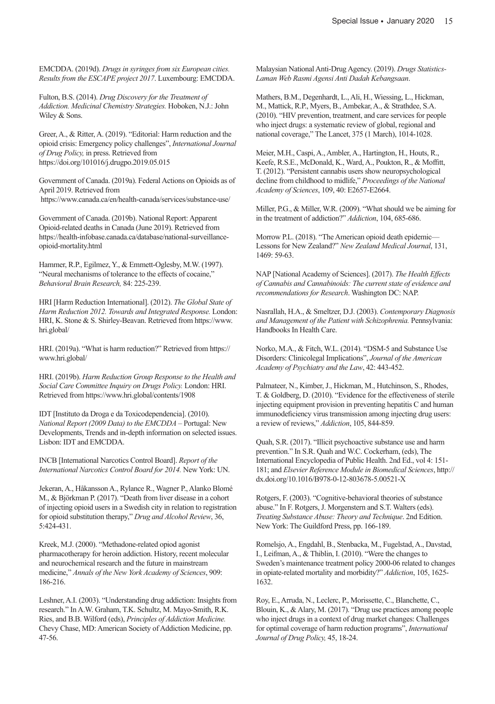EMCDDA. (2019d). *Drugs in syringes from six European cities. Results from the ESCAPE project 2017*. Luxembourg: EMCDDA.

Fulton, B.S. (2014). *Drug Discovery for the Treatment of Addiction. Medicinal Chemistry Strategies.* Hoboken, N.J.: John Wiley & Sons.

Greer, A., & Ritter, A. (2019). "Editorial: Harm reduction and the opioid crisis: Emergency policy challenges", *International Journal of Drug Policy,* in press. Retrieved from https://doi.org/101016/j.drugpo.2019.05.015

Government of Canada. (2019a). Federal Actions on Opioids as of April 2019. Retrieved from https://www.canada.ca/en/health-canada/services/substance-use/

Government of Canada. (2019b). National Report: Apparent Opioid-related deaths in Canada (June 2019). Retrieved from https://health-infobase.canada.ca/database/national-surveillanceopioid-mortality.html

Hammer, R.P., Egilmez, Y., & Emmett-Oglesby, M.W. (1997). "Neural mechanisms of tolerance to the effects of cocaine," *Behavioral Brain Research,* 84: 225-239.

HRI [Harm Reduction International]. (2012). *The Global State of Harm Reduction 2012. Towards and Integrated Response.* London: HRI, K. Stone & S. Shirley-Beavan. Retrieved from https://www. hri.global/

HRI. (2019a). "What is harm reduction?" Retrieved from https:// www.hri.global/

HRI. (2019b). *Harm Reduction Group Response to the Health and Social Care Committee Inquiry on Drugs Policy.* London: HRI. Retrieved from https://www.hri.global/contents/1908

IDT [Instituto da Droga e da Toxicodependencia]. (2010). *National Report (2009 Data) to the EMCDDA* – Portugal: New Developments, Trends and in-depth information on selected issues. Lisbon: IDT and EMCDDA.

INCB [International Narcotics Control Board]. *Report of the International Narcotics Control Board for 2014.* New York: UN.

Jekeran, A., Håkansson A., Rylance R., Wagner P., Alanko Blomé M., & Björkman P. (2017). "Death from liver disease in a cohort of injecting opioid users in a Swedish city in relation to registration for opioid substitution therapy," *Drug and Alcohol Review*, 36, 5:424-431.

Kreek, M.J. (2000). "Methadone-related opiod agonist pharmacotherapy for heroin addiction. History, recent molecular and neurochemical research and the future in mainstream medicine," *Annals of the New York Academy of Sciences*, 909: 186-216.

Leshner, A.I. (2003). "Understanding drug addiction: Insights from research." In A.W. Graham, T.K. Schultz, M. Mayo-Smith, R.K. Ries, and B.B. Wilford (eds), *Principles of Addiction Medicine.*  Chevy Chase, MD: American Society of Addiction Medicine, pp. 47-56.

Malaysian National Anti-Drug Agency. (2019). *Drugs Statistics-Laman Web Rasmi Agensi Anti Dadah Kebangsaan*.

Mathers, B.M., Degenhardt, L., Ali, H., Wiessing, L., Hickman, M., Mattick, R.P., Myers, B., Ambekar, A., & Strathdee, S.A. (2010). "HIV prevention, treatment, and care services for people who inject drugs: a systematic review of global, regional and national coverage," The Lancet, 375 (1 March), 1014-1028.

Meier, M.H., Caspi, A., Ambler, A., Hartington, H., Houts, R., Keefe, R.S.E., McDonald, K., Ward, A., Poukton, R., & Moffitt, T. (2012). "Persistent cannabis users show neuropsychological decline from childhood to midlife," *Proceedings of the National Academy of Sciences*, 109, 40: E2657-E2664.

Miller, P.G., & Miller, W.R. (2009). "What should we be aiming for in the treatment of addiction?" *Addiction*, 104, 685-686.

Morrow P.L. (2018). "The American opioid death epidemic— Lessons for New Zealand?" *New Zealand Medical Journal*, 131, 1469: 59-63.

NAP [National Academy of Sciences]. (2017). *The Health Effects of Cannabis and Cannabinoids: The current state of evidence and recommendations for Research*. Washington DC: NAP.

Nasrallah, H.A., & Smeltzer, D.J. (2003). *Contemporary Diagnosis and Management of the Patient with Schizophrenia.* Pennsylvania: Handbooks In Health Care.

Norko, M.A., & Fitch, W.L. (2014). "DSM-5 and Substance Use Disorders: Clinicolegal Implications", *Journal of the American Academy of Psychiatry and the Law*, 42: 443-452.

Palmateer, N., Kimber, J., Hickman, M., Hutchinson, S., Rhodes, T. & Goldberg, D. (2010). "Evidence for the effectiveness of sterile injecting equipment provision in preventing hepatitis C and human immunodeficiency virus transmission among injecting drug users: a review of reviews," *Addiction*, 105, 844-859.

Quah, S.R. (2017). "Illicit psychoactive substance use and harm prevention." In S.R. Quah and W.C. Cockerham, (eds), The International Encyclopedia of Public Health. 2nd Ed., vol 4: 151- 181; and *Elsevier Reference Module in Biomedical Sciences*, http:// dx.doi.org/10.1016/B978-0-12-803678-5.00521-X

Rotgers, F. (2003). "Cognitive-behavioral theories of substance abuse." In F. Rotgers, J. Morgenstern and S.T. Walters (eds). *Treating Substance Abuse: Theory and Technique*. 2nd Edition. New York: The Guildford Press, pp. 166-189.

Romelsjo, A., Engdahl, B., Stenbacka, M., Fugelstad, A., Davstad, I., Leifman, A., & Thiblin, I. (2010). "Were the changes to Sweden's maintenance treatment policy 2000-06 related to changes in opiate-related mortality and morbidity?" *Addiction*, 105, 1625- 1632.

Roy, E., Arruda, N., Leclerc, P., Morissette, C., Blanchette, C., Blouin, K., & Alary, M. (2017). "Drug use practices among people who inject drugs in a context of drug market changes: Challenges for optimal coverage of harm reduction programs", *International Journal of Drug Policy,* 45, 18-24.